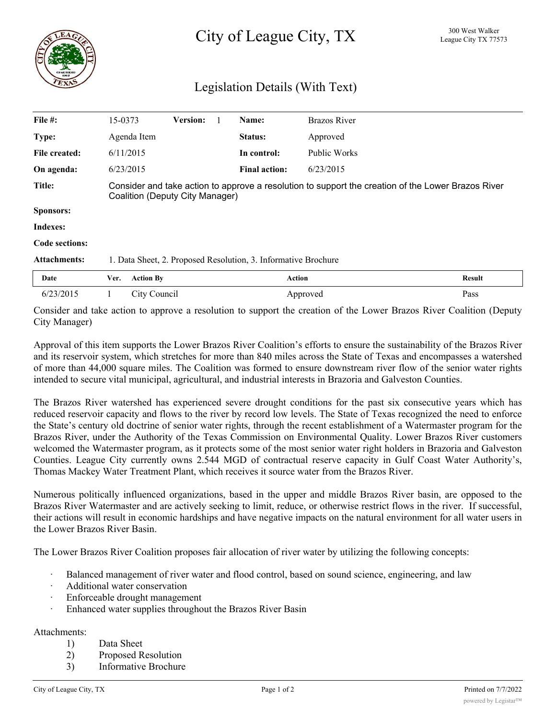## Legislation Details (With Text)

| File #:             | 15-0373                                                                                                                               |                  | <b>Version:</b> |  | Name:                | <b>Brazos River</b> |               |
|---------------------|---------------------------------------------------------------------------------------------------------------------------------------|------------------|-----------------|--|----------------------|---------------------|---------------|
| Type:               |                                                                                                                                       | Agenda Item      |                 |  | Status:              | Approved            |               |
| File created:       | 6/11/2015                                                                                                                             |                  |                 |  | In control:          | Public Works        |               |
| On agenda:          | 6/23/2015                                                                                                                             |                  |                 |  | <b>Final action:</b> | 6/23/2015           |               |
| Title:              | Consider and take action to approve a resolution to support the creation of the Lower Brazos River<br>Coalition (Deputy City Manager) |                  |                 |  |                      |                     |               |
| Sponsors:           |                                                                                                                                       |                  |                 |  |                      |                     |               |
| Indexes:            |                                                                                                                                       |                  |                 |  |                      |                     |               |
| Code sections:      |                                                                                                                                       |                  |                 |  |                      |                     |               |
| <b>Attachments:</b> | 1. Data Sheet, 2. Proposed Resolution, 3. Informative Brochure                                                                        |                  |                 |  |                      |                     |               |
| Date                | Ver.                                                                                                                                  | <b>Action By</b> |                 |  | <b>Action</b>        |                     | <b>Result</b> |
| 6/23/2015           |                                                                                                                                       | City Council     |                 |  |                      | Approved            | Pass          |

Consider and take action to approve a resolution to support the creation of the Lower Brazos River Coalition (Deputy City Manager)

Approval of this item supports the Lower Brazos River Coalition's efforts to ensure the sustainability of the Brazos River and its reservoir system, which stretches for more than 840 miles across the State of Texas and encompasses a watershed of more than 44,000 square miles. The Coalition was formed to ensure downstream river flow of the senior water rights intended to secure vital municipal, agricultural, and industrial interests in Brazoria and Galveston Counties.

The Brazos River watershed has experienced severe drought conditions for the past six consecutive years which has reduced reservoir capacity and flows to the river by record low levels. The State of Texas recognized the need to enforce the State's century old doctrine of senior water rights, through the recent establishment of a Watermaster program for the Brazos River, under the Authority of the Texas Commission on Environmental Quality. Lower Brazos River customers welcomed the Watermaster program, as it protects some of the most senior water right holders in Brazoria and Galveston Counties. League City currently owns 2.544 MGD of contractual reserve capacity in Gulf Coast Water Authority's, Thomas Mackey Water Treatment Plant, which receives it source water from the Brazos River.

Numerous politically influenced organizations, based in the upper and middle Brazos River basin, are opposed to the Brazos River Watermaster and are actively seeking to limit, reduce, or otherwise restrict flows in the river. If successful, their actions will result in economic hardships and have negative impacts on the natural environment for all water users in the Lower Brazos River Basin.

The Lower Brazos River Coalition proposes fair allocation of river water by utilizing the following concepts:

- Balanced management of river water and flood control, based on sound science, engineering, and law
- Additional water conservation
- Enforceable drought management
- Enhanced water supplies throughout the Brazos River Basin

## Attachments:

- 1) Data Sheet
- 2) Proposed Resolution
- 3) Informative Brochure